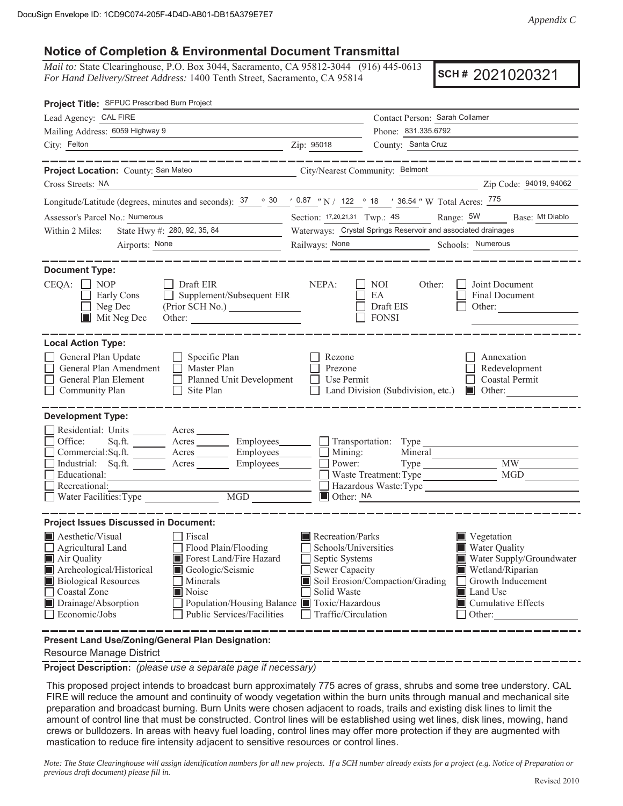## **Notice of Completion & Environmental Document Transmittal**

*Mail to:* State Clearinghouse, P.O. Box 3044, Sacramento, CA 95812-3044 (916) 445-0613 *For Hand Delivery/Street Address:* 1400 Tenth Street, Sacramento, CA 95814

**SCH #** 2021020321

| Project Title: SFPUC Prescribed Burn Project                                                                                                                                                                                                                                                                                                                                                                                      |                                                                                                                    |                                                                                                                                                                                                  |
|-----------------------------------------------------------------------------------------------------------------------------------------------------------------------------------------------------------------------------------------------------------------------------------------------------------------------------------------------------------------------------------------------------------------------------------|--------------------------------------------------------------------------------------------------------------------|--------------------------------------------------------------------------------------------------------------------------------------------------------------------------------------------------|
| Lead Agency: CAL FIRE                                                                                                                                                                                                                                                                                                                                                                                                             |                                                                                                                    | Contact Person: Sarah Collamer                                                                                                                                                                   |
| Mailing Address: 6059 Highway 9                                                                                                                                                                                                                                                                                                                                                                                                   |                                                                                                                    | Phone: 831.335.6792                                                                                                                                                                              |
| City: Felton                                                                                                                                                                                                                                                                                                                                                                                                                      | Zip: 95018                                                                                                         | County: Santa Cruz                                                                                                                                                                               |
| ___________<br>Project Location: County: San Mateo                                                                                                                                                                                                                                                                                                                                                                                | City/Nearest Community: Belmont                                                                                    | ___________                                                                                                                                                                                      |
| Cross Streets: NA                                                                                                                                                                                                                                                                                                                                                                                                                 |                                                                                                                    | Zip Code: 94019, 94062                                                                                                                                                                           |
| Longitude/Latitude (degrees, minutes and seconds): $\frac{37}{100}$ $\frac{30}{100}$ $\frac{1}{200}$ $\frac{1}{200}$ $\frac{1}{200}$ $\frac{1}{200}$ $\frac{1}{200}$ $\frac{1}{200}$ $\frac{1}{200}$ $\frac{1}{200}$ $\frac{1}{200}$ $\frac{1}{200}$ $\frac{1}{200}$ $\frac{1}{200}$                                                                                                                                              |                                                                                                                    |                                                                                                                                                                                                  |
| Assessor's Parcel No.: Numerous<br><u> 1980 - Jan James James</u>                                                                                                                                                                                                                                                                                                                                                                 |                                                                                                                    | Section: 17,20,21,31 Twp.: 4S Range: 5W Base: Mt Diablo                                                                                                                                          |
| State Hwy #: 280, 92, 35, 84<br>Within 2 Miles:                                                                                                                                                                                                                                                                                                                                                                                   |                                                                                                                    | Waterways: Crystal Springs Reservoir and associated drainages                                                                                                                                    |
| Airports: None                                                                                                                                                                                                                                                                                                                                                                                                                    | Railways: None                                                                                                     | Schools: Numerous                                                                                                                                                                                |
| <b>Document Type:</b><br>$CEQA: \Box NP$<br>$\Box$ Draft EIR<br>$\Box$ Supplement/Subsequent EIR<br>Early Cons<br>Neg Dec<br>$\overline{\phantom{a}}$<br>$\blacksquare$ Mit Neg Dec                                                                                                                                                                                                                                               | NEPA:                                                                                                              | Joint Document<br>NOI<br>Other:<br>EA<br>Final Document<br>Draft EIS<br>Other:<br><b>FONSI</b>                                                                                                   |
| <b>Local Action Type:</b><br>General Plan Update<br>$\Box$ Specific Plan<br>General Plan Amendment<br>$\Box$ Master Plan<br>General Plan Element<br>Planned Unit Development<br>Community Plan<br>$\Box$ Site Plan                                                                                                                                                                                                                | Rezone<br>Prezone<br>Use Permit                                                                                    | Annexation<br>Redevelopment<br>□ Coastal Permit<br>Land Division (Subdivision, etc.)<br>$\blacksquare$ Other:                                                                                    |
| <b>Development Type:</b><br>Residential: Units ________ Acres _______<br>Office:<br>Sq.ft. _________ Acres __________ Employees ________ __ Transportation: Type<br>Commercial:Sq.ft. ________ Acres _________ Employees_______<br>Industrial: Sq.ft. Acres Employees<br>Educational:<br>Recreational:<br>Water Facilities: Type<br>MGD                                                                                           | $\Box$ Mining:<br>Power:<br>$\Box$ Other: NA                                                                       | Mineral<br><b>MW</b><br>MGD<br>Hazardous Waste: Type<br><u> 1989 - Andrea Station Barbara, amerikan per</u>                                                                                      |
| <b>Project Issues Discussed in Document:</b><br>$\blacksquare$ Aesthetic/Visual<br>Fiscal<br>Flood Plain/Flooding<br>Agricultural Land<br>Air Quality<br>Forest Land/Fire Hazard<br>Archeological/Historical<br>Geologic/Seismic<br><b>Biological Resources</b><br>Minerals<br>□ Coastal Zone<br>Noise<br>Drainage/Absorption<br>Population/Housing Balance Toxic/Hazardous<br>Public Services/Facilities<br>$\Box$ Economic/Jobs | Recreation/Parks<br>Schools/Universities<br>Septic Systems<br>Sewer Capacity<br>Solid Waste<br>Traffic/Circulation | ■ Vegetation<br>Water Quality<br>Water Supply/Groundwater<br>Wetland/Riparian<br>Soil Erosion/Compaction/Grading<br>Growth Inducement<br>Land Use<br>$\blacksquare$ Cumulative Effects<br>Other: |
| Present Land Use/Zoning/General Plan Designation:                                                                                                                                                                                                                                                                                                                                                                                 |                                                                                                                    |                                                                                                                                                                                                  |

Resource Manage District

**Project Description:** *(please use a separate page if necessary)*

 This proposed project intends to broadcast burn approximately 775 acres of grass, shrubs and some tree understory. CAL FIRE will reduce the amount and continuity of woody vegetation within the burn units through manual and mechanical site preparation and broadcast burning. Burn Units were chosen adjacent to roads, trails and existing disk lines to limit the amount of control line that must be constructed. Control lines will be established using wet lines, disk lines, mowing, hand crews or bulldozers. In areas with heavy fuel loading, control lines may offer more protection if they are augmented with mastication to reduce fire intensity adjacent to sensitive resources or control lines.

*Note: The State Clearinghouse will assign identification numbers for all new projects. If a SCH number already exists for a project (e.g. Notice of Preparation or previous draft document) please fill in.*